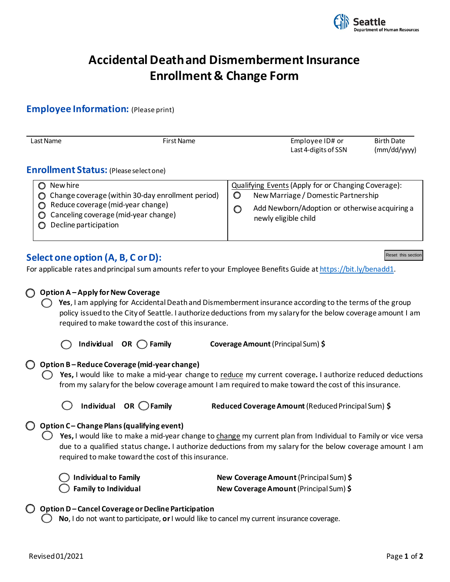

# **Accidental Death and Dismemberment Insurance Enrollment & Change Form**

### **Employee Information:** (Please print)

| Last Name                                     | First Name                                                                                                                                              |  | Employee ID# or<br>Last 4-digits of SSN                                                                                                                                       | <b>Birth Date</b><br>(mm/dd/yyy) |  |
|-----------------------------------------------|---------------------------------------------------------------------------------------------------------------------------------------------------------|--|-------------------------------------------------------------------------------------------------------------------------------------------------------------------------------|----------------------------------|--|
| <b>Enrollment Status:</b> (Please select one) |                                                                                                                                                         |  |                                                                                                                                                                               |                                  |  |
| New hire<br>0<br>O                            | Change coverage (within 30-day enrollment period)<br>Reduce coverage (mid-year change)<br>Canceling coverage (mid-year change)<br>Decline participation |  | Qualifying Events (Apply for or Changing Coverage):<br>O<br>New Marriage / Domestic Partnership<br>Add Newborn/Adoption or otherwise acquiring a<br>O<br>newly eligible child |                                  |  |

# **Select one option (A, B, C or D):**

For applicable rates and principal sum amounts refer to your Employee Benefits Guide a[t https://bit.ly/benadd1.](https://bit.ly/benadd1)

# **Option A – Apply for New Coverage The State State State is an** applying for Accidental Death and Dismemberment insurance according to the terms of the group policy issued to the City of Seattle. I authorize deductions from my salary for the below coverage amount I am required to make toward the cost of this insurance.

**Individual OR Family Coverage Amount**(Principal Sum) **\$** 

#### **Option B – Reduce Coverage (mid-year change)**

 **Yes,** I would like to make a mid-year change to reduce my current coverage**.** I authorize reduced deductions from my salary for the below coverage amount I am required to make toward the cost of this insurance.

**Individual OR Family Reduced Coverage Amount** (Reduced Principal Sum) **\$** 

#### **Option C – Change Plans (qualifying event)**

 **Yes,** I would like to make a mid-year change to change my current plan from Individual to Family or vice versa due to a qualified status change**.** I authorize deductions from my salary for the below coverage amount I am required to make toward the cost of this insurance.

| $\bigcirc$ Individual to Family |
|---------------------------------|
| <b>S</b> Family to Individual   |

 **Individual to Family New Coverage Amount**(Principal Sum) **\$ New Coverage Amount** (Principal Sum) \$

#### **Option D – Cancel Coverage or Decline Participation**

**No**, I do not want to participate, **or**I would like to cancel my current insurance coverage.

**Reset this section**